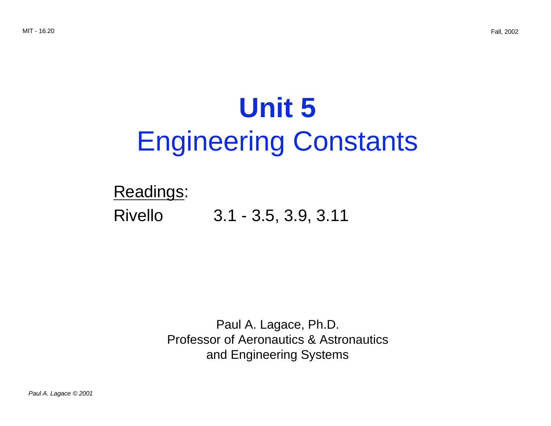# **Unit 5**  Engineering Constants

## Readings:

Rivello 3.1 - 3.5, 3.9, 3.11

Paul A. Lagace, Ph.D. Professor of Aeronautics & Astronautics and Engineering Systems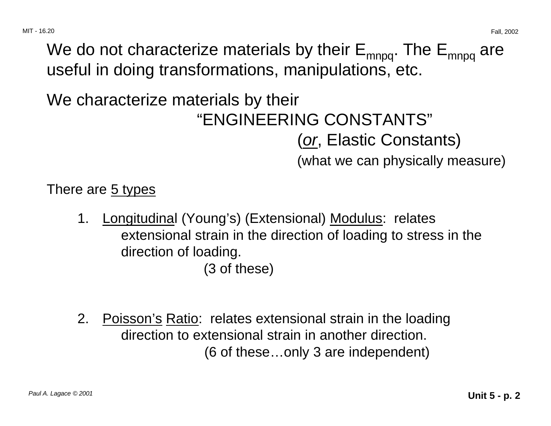We do not characterize materials by their  $E_{\text{mnpq}}$ . The  $E_{\text{mnpq}}$  are useful in doing transformations, manipulations, etc.

# We characterize materials by their "ENGINEERING CONSTANTS"

(or, Elastic Constants)

(what we can physically measure)

There are 5 types

- 1. Longitudinal (Young's) (Extensional) Modulus: relates extensional strain in the direction of loading to stress in the direction of loading. (3 of these)
- 2. Poisson's Ratio: relates extensional strain in the loading direction to extensional strain in another direction. (6 of these…only 3 are independent)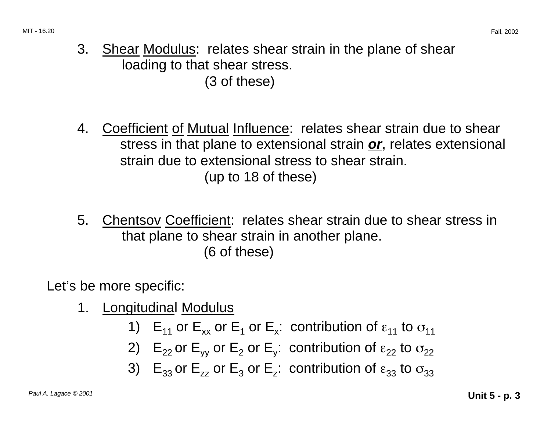- 3. Shear Modulus: relates shear strain in the plane of shear loading to that shear stress. (3 of these)
- 4. Coefficient of Mutual Influence: relates shear strain due to shear stress in that plane to extensional strain **or**, relates extensional strain due to extensional stress to shear strain. (up to 18 of these)
- 5. Chentsov Coefficient: relates shear strain due to shear stress in that plane to shear strain in another plane. (6 of these)

Let's be more specific:

- 1. Longitudinal Modulus
	- 1)  $E_{11}$  or  $E_{xx}$  or  $E_1$  or  $E_x$ : contribution of  $\varepsilon_{11}$  to  $\sigma_{11}$
	- 2)  $E_{22}$  or  $E_{yy}$  or  $E_{2}$  or  $E_{y}$ : contribution of  $\varepsilon_{22}$  to  $\sigma_{22}$
	- 3)  $E_{33}$  or  $E_{zz}$  or  $E_{3}$  or  $E_{z}$ : contribution of  $\varepsilon_{33}$  to  $\sigma_{33}$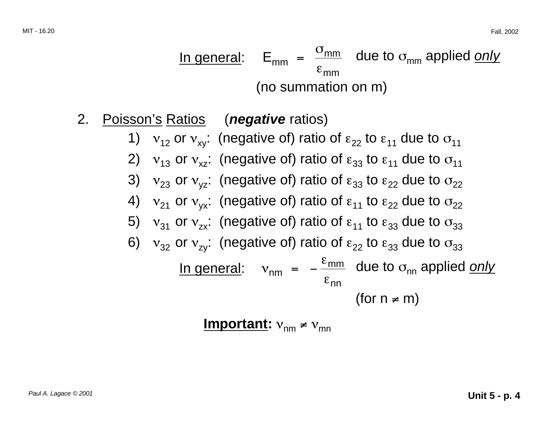In general:  $E_{mm} = \frac{\sigma_{mm}}{m}$  due to  $\sigma_{mm}$  applied only  $\rm \epsilon_{mm}$ (no summation on m)

- 2. Poisson's Ratios (**negative** ratios)
	- 1)  $v_{12}$  or  $v_{xy}$ : (negative of) ratio of  $\varepsilon_{22}$  to  $\varepsilon_{11}$  due to  $\sigma_{11}$
	- 2)  $v_{13}$  or  $v_{17}$ : (negative of) ratio of  $\varepsilon_{33}$  to  $\varepsilon_{11}$  due to  $\sigma_{11}$
	- 3)  $v_{23}$  or  $v_{yz}$ : (negative of) ratio of  $\varepsilon_{33}$  to  $\varepsilon_{22}$  due to  $\sigma_{22}$
	- 4)  $v_{21}$  or  $v_{yx}$ : (negative of) ratio of  $\varepsilon_{11}$  to  $\varepsilon_{22}$  due to  $\sigma_{22}$
	- 5)  $v_{31}$  or  $v_{7x}$ : (negative of) ratio of  $\varepsilon_{11}$  to  $\varepsilon_{33}$  due to  $\sigma_{33}$
	- 6)  $v_{32}$  or  $v_{7y}$ : (negative of) ratio of  $\varepsilon_{22}$  to  $\varepsilon_{33}$  due to  $\sigma_{33}$

In general: 
$$
v_{nm} = -\frac{\varepsilon_{mm}}{\varepsilon_{nn}}
$$
 due to  $\sigma_{nn}$  applied only  
(for  $n \neq m$ )

$$
Important: v_{nm} \neq v_{mn}
$$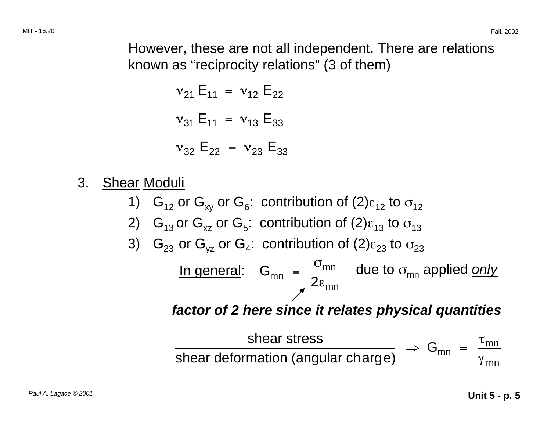However, these are not all independent. There are relations known as "reciprocity relations" (3 of them)

$$
v_{21} E_{11} = v_{12} E_{22}
$$
  
\n $v_{31} E_{11} = v_{13} E_{33}$   
\n $v_{32} E_{22} = v_{23} E_{33}$ 

- 3. Shear Moduli
	- 1)  $G_{12}$  or  $G_{xy}$  or  $G_6$ : contribution of (2) $\varepsilon_{12}$  to  $\sigma_{12}$
	- 2) G<sub>13</sub> or G<sub>xz</sub> or G<sub>5</sub>: contribution of (2) $\varepsilon_{13}$  to  $\sigma_{13}$
	- 3)  $G_{23}$  or  $G_{vz}$  or  $G_4$ : contribution of (2) $\varepsilon_{23}$  to  $\sigma_{23}$

<u>In general</u>:  $G_{mn} = \frac{\sigma_{mn}}{2\epsilon_{mn}}$  due to  $\sigma_{mn}$  applied <u>only</u>

**factor of 2 here since it relates physical quantities** 

\n shear stress  
\n shear deformation (angular charge) 
$$
\Rightarrow G_{mn} = \frac{\tau_{mn}}{\gamma_{mn}}
$$
\n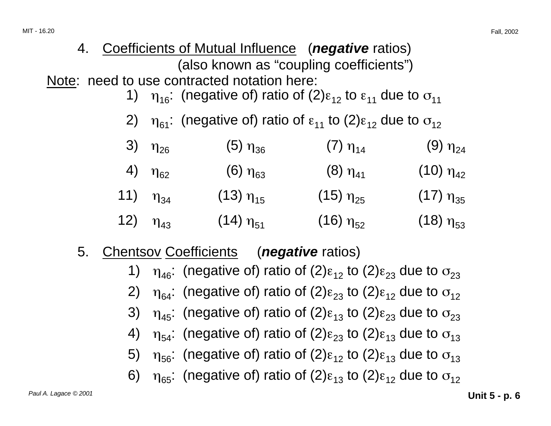#### 4. Coefficients of Mutual Influence (**negative** ratios) (also known as "coupling coefficients") Note: need to use contracted notation here:

- 1)  $\eta_{16}$ : (negative of) ratio of (2) $\varepsilon_{12}$  to  $\varepsilon_{11}$  due to  $\sigma_{11}$
- 2)  $\eta_{61}$ : (negative of) ratio of  $\varepsilon_{11}$  to (2) $\varepsilon_{12}$  due to  $\sigma_{12}$

| 3) $\eta_{26}$      | $(5)$ η <sub>36</sub> | $(7)$ η <sub>14</sub> | $(9)$ $\eta_{24}$  |
|---------------------|-----------------------|-----------------------|--------------------|
| 4) $\eta_{62}$      | $(6)$ $\eta_{63}$     | $(8)$ $\eta_{41}$     | $(10)$ $\eta_{42}$ |
| 11) ຖ <sub>34</sub> | $(13)$ $\eta_{15}$    | $(15)$ $\eta_{25}$    | $(17)$ $\eta_{35}$ |
| 12) $\eta_{43}$     | $(14)$ $\eta_{51}$    | $(16)$ $\eta_{52}$    | $(18)$ $\eta_{53}$ |

- 5. Chentsov Coefficients (**negative** ratios)
	- 1)  $\eta_{46}$ : (negative of) ratio of (2) $\varepsilon_{12}$  to (2) $\varepsilon_{23}$  due to  $\sigma_{23}$
	- 2)  $\eta_{64}$ : (negative of) ratio of (2) $\varepsilon_{23}$  to (2) $\varepsilon_{12}$  due to  $\sigma_{12}$
	- 3)  $\eta_{45}$ : (negative of) ratio of (2) $\varepsilon_{13}$  to (2) $\varepsilon_{23}$  due to  $\sigma_{23}$
	- 4)  $\eta_{54}$ : (negative of) ratio of (2) $\varepsilon_{23}$  to (2) $\varepsilon_{13}$  due to  $\sigma_{13}$
	- 5)  $η<sub>56</sub>$ : (negative of) ratio of (2)ε<sub>12</sub> to (2)ε<sub>13</sub> due to  $σ<sub>13</sub>$
	- 6)  $\eta_{65}$ : (negative of) ratio of (2) $\varepsilon_{13}$  to (2) $\varepsilon_{12}$  due to  $\sigma_{12}$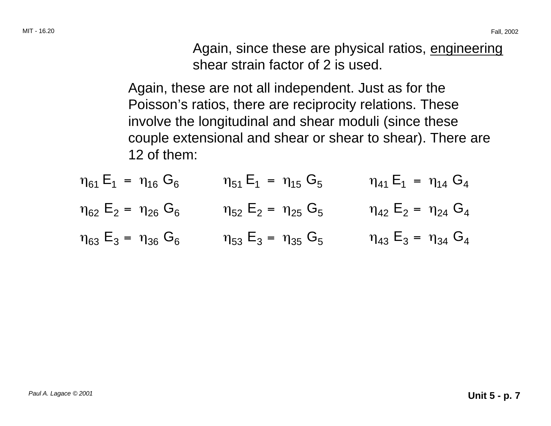Again, since these are physical ratios, engineering shear strain factor of 2 is used.

Again, these are not all independent. Just as for the Poisson's ratios, there are reciprocity relations. These involve the longitudinal and shear moduli (since these couple extensional and shear or shear to shear). There are 12 of them:

- $\eta_{61} E_1 = \eta_{16} G_6$   $\eta_{51} E_1 = \eta_{15} G_5$   $\eta_{41} E_1 = \eta_{14} G_4$  $\eta_{62}$  E<sub>2</sub> =  $\eta_{26}$  G<sub>6</sub>  $\eta_{52}$  E<sub>2</sub> =  $\eta_{25}$  G<sub>5</sub>  $\eta_{42}$  E<sub>2</sub> =  $\eta_{24}$  G<sub>4</sub>
- $\eta_{63} E_3 = \eta_{36} G_6$   $\eta_{53} E_3 = \eta_{35} G_5$   $\eta_{43} E_3 = \eta_{34} G_4$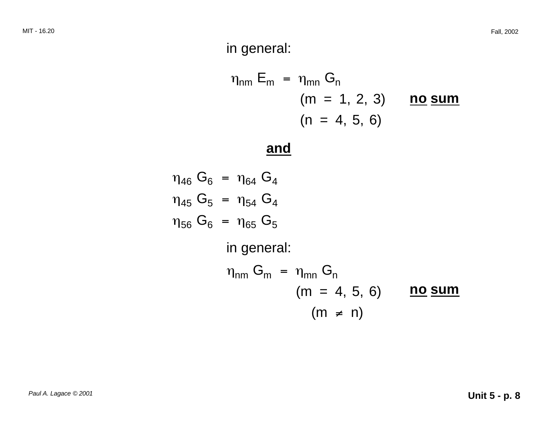#### in general:

$$
\eta_{nm} E_m = \eta_{mn} G_n
$$
  
(m = 1, 2, 3) **no sum**  
(n = 4, 5, 6)

#### **and**

$$
\eta_{46} G_6 = \eta_{64} G_4
$$
  
\n
$$
\eta_{45} G_5 = \eta_{54} G_4
$$
  
\n
$$
\eta_{56} G_6 = \eta_{65} G_5
$$
  
\nin general:  
\n
$$
\eta_{nm} G_m = \eta_{mn} G_n
$$
  
\n( $m = 4, 5, 6$ ) no sum  
\n( $m \neq n$ )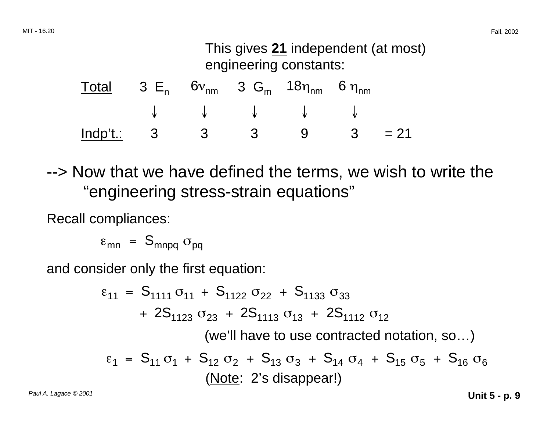#### This gives **21** independent (at most) engineering constants:

| $\frac{\text{Total}}{\text{Total}}$ 3 E <sub>n</sub> 6v <sub>nm</sub> 3 G <sub>m</sub> 18 $\eta_{nm}$ 6 $\eta_{nm}$ |  |                                                                  |  |  |
|---------------------------------------------------------------------------------------------------------------------|--|------------------------------------------------------------------|--|--|
|                                                                                                                     |  | $\downarrow$ $\downarrow$ $\downarrow$ $\downarrow$ $\downarrow$ |  |  |
| $\frac{\text{Indp't}}{3}$ 3 3 9 3 = 21                                                                              |  |                                                                  |  |  |

--> Now that we have defined the terms, we wish to write the "engineering stress-strain equations"

Recall compliances:

 $\varepsilon_{mn}$  =  $S_{mnpq}$   $\sigma_{pq}$ 

and consider only the first equation:

$$
\varepsilon_{11} = S_{1111} \sigma_{11} + S_{1122} \sigma_{22} + S_{1133} \sigma_{33}
$$
  
+ 2S<sub>1123</sub> \sigma<sub>23</sub> + 2S<sub>1113</sub> \sigma<sub>13</sub> + 2S<sub>1112</sub> \sigma<sub>12</sub>  
(we'll have to use contracted notation, so...)  

$$
\varepsilon_1 = S_{11} \sigma_1 + S_{12} \sigma_2 + S_{13} \sigma_3 + S_{14} \sigma_4 + S_{15} \sigma_5 + S_{16} \sigma_6
$$
  
(Note: 2's disappear!)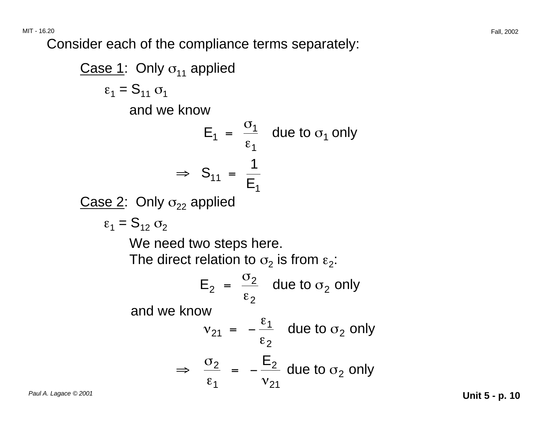MIT - 16.20 Fall, 2002

Consider each of the compliance terms separately:

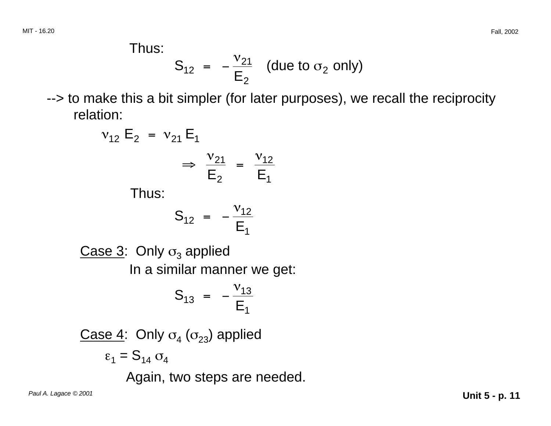$$
S_{12} = -\frac{v_{21}}{E_2}
$$
 (due to  $\sigma_2$  only)

--> to make this a bit simpler (for later purposes), we recall the reciprocity relation:

$$
v_{12} E_2 = v_{21} E_1
$$
  
 $\Rightarrow \frac{v_{21}}{E_2} = \frac{v_{12}}{E_1}$ 

Thus:

$$
S_{12} = -\frac{v_{12}}{E_1}
$$

Case 3: Only  $\sigma_3$  applied In a similar manner we get:

$$
S_{13} = -\frac{v_{13}}{E_1}
$$

Case 4: Only  $\sigma_4$  ( $\sigma_{23}$ ) applied  $\varepsilon_1 = S_{14} \sigma_4$ 

Again, two steps are needed.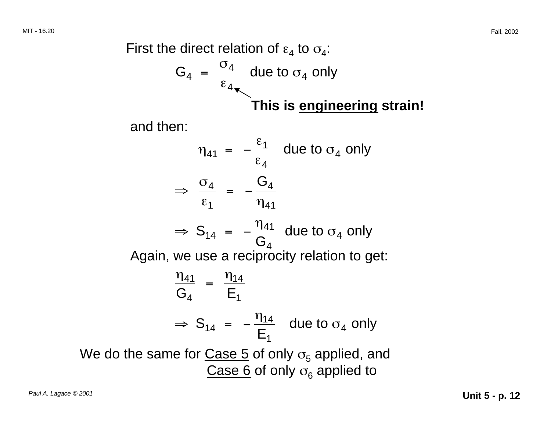First the direct relation of  $\varepsilon_4$  to  $\sigma_4$ :

$$
G_4 = \frac{\sigma_4}{\epsilon_4}
$$
 due to  $\sigma_4$  only

**This is engineering strain!** 

and then:

 $\eta_{41}$  =  $\frac{\varepsilon_1}{\varepsilon_1}$  due to  $\sigma_4$  only  $\epsilon_{\mathtt{4}}$  $\Rightarrow$   $\frac{\sigma_4}{\sigma_4}$  =  $-\frac{G_4}{\sigma_4}$  $\varepsilon_1$   $\eta_{41}$  $\Rightarrow$  S<sub>14</sub> =  $-\frac{\eta_{41}}{G_4}$  due to  $\sigma_4$  only Again, we use a reciprocity relation to get:  $\frac{\eta_{41}}{\mathsf{G}_4}$  =  $\frac{\eta_{14}}{\mathsf{E}_1}$  $\Rightarrow$  S<sub>14</sub> =  $-\frac{\eta_{14}}{E_1}$  due to  $\sigma_4$  only We do the same for Case 5 of only  $\sigma_5$  applied, and Case 6 of only  $\sigma_6$  applied to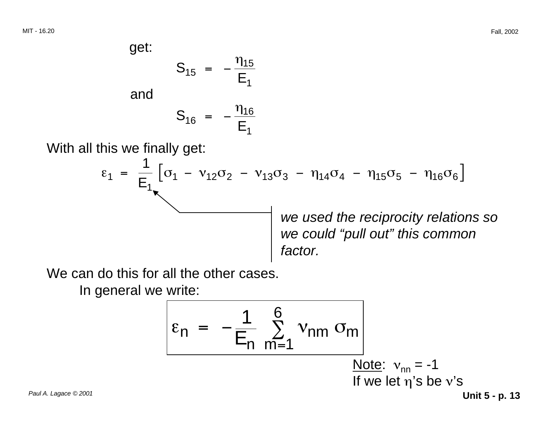and

$$
S_{16} = -\frac{\eta_{16}}{E_1}
$$

 $S_{15} = -\frac{\eta_{15}}{E_1}$ 

With all this we finally get:

$$
\varepsilon_1 = \frac{1}{E_1} \left[ \sigma_1 - v_{12} \sigma_2 - v_{13} \sigma_3 - \eta_{14} \sigma_4 - \eta_{15} \sigma_5 - \eta_{16} \sigma_6 \right]
$$
\nwe used the reciprocity relations so  
\nwe could "pull out" this common factor.

We can do this for all the other cases.

In general we write:

$$
\varepsilon_{n} = -\frac{1}{E_{n}} \sum_{m=1}^{6} v_{nm} \sigma_{m}
$$
\nNote:  $v_{nn} = -1$   
\nIf we let  $\eta$ 's be  $v$ 's  
\nUnit 5 - p. 13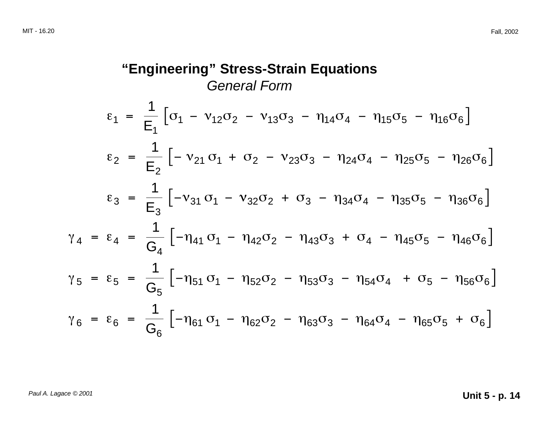"Engineering" Stress-Strain Equations  
\n*General Form*  
\n
$$
\epsilon_1 = \frac{1}{E_1} \left[ \sigma_1 - v_{12} \sigma_2 - v_{13} \sigma_3 - \eta_{14} \sigma_4 - \eta_{15} \sigma_5 - \eta_{16} \sigma_6 \right]
$$
\n
$$
\epsilon_2 = \frac{1}{E_2} \left[ -v_{21} \sigma_1 + \sigma_2 - v_{23} \sigma_3 - \eta_{24} \sigma_4 - \eta_{25} \sigma_5 - \eta_{26} \sigma_6 \right]
$$
\n
$$
\epsilon_3 = \frac{1}{E_3} \left[ -v_{31} \sigma_1 - v_{32} \sigma_2 + \sigma_3 - \eta_{34} \sigma_4 - \eta_{35} \sigma_5 - \eta_{36} \sigma_6 \right]
$$
\n
$$
\gamma_4 = \epsilon_4 = \frac{1}{G_4} \left[ -\eta_{41} \sigma_1 - \eta_{42} \sigma_2 - \eta_{43} \sigma_3 + \sigma_4 - \eta_{45} \sigma_5 - \eta_{46} \sigma_6 \right]
$$
\n
$$
\gamma_5 = \epsilon_5 = \frac{1}{G_5} \left[ -\eta_{51} \sigma_1 - \eta_{52} \sigma_2 - \eta_{53} \sigma_3 - \eta_{54} \sigma_4 + \sigma_5 - \eta_{56} \sigma_6 \right]
$$
\n
$$
\gamma_6 = \epsilon_6 = \frac{1}{G_6} \left[ -\eta_{61} \sigma_1 - \eta_{62} \sigma_2 - \eta_{63} \sigma_3 - \eta_{64} \sigma_4 - \eta_{65} \sigma_5 + \sigma_6 \right]
$$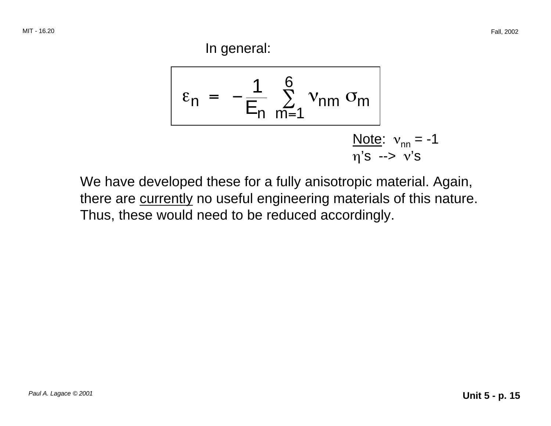In general:

$$
\varepsilon_{n} = -\frac{1}{E_{n}} \sum_{m=1}^{6} v_{nm} \sigma_{m}
$$
\nNote:  $v_{nn} = -1$   
\n $\eta$ 's  $\rightarrow$  v's

We have developed these for a fully anisotropic material. Again, there are currently no useful engineering materials of this nature. Thus, these would need to be reduced accordingly.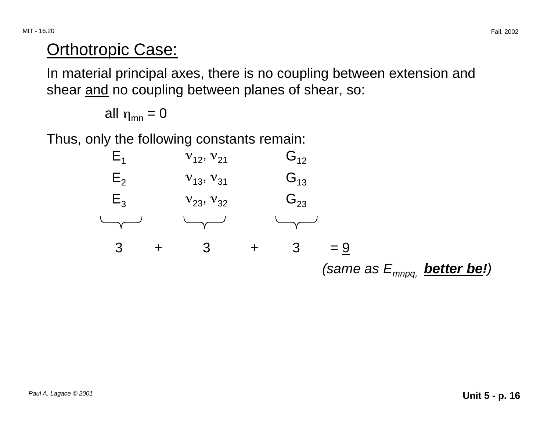## Orthotropic Case:

In material principal axes, there is no coupling between extension and shear and no coupling between planes of shear, so:

all 
$$
\eta_{mn} = 0
$$

Thus, only the following constants remain:

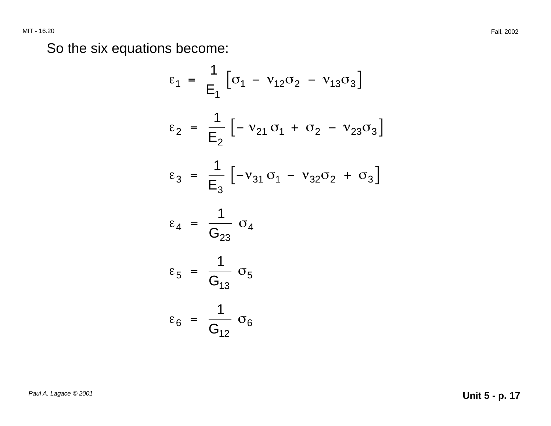So the six equations become:

$$
\varepsilon_{1} = \frac{1}{E_{1}} \left[ \sigma_{1} - v_{12} \sigma_{2} - v_{13} \sigma_{3} \right]
$$
\n
$$
\varepsilon_{2} = \frac{1}{E_{2}} \left[ -v_{21} \sigma_{1} + \sigma_{2} - v_{23} \sigma_{3} \right]
$$
\n
$$
\varepsilon_{3} = \frac{1}{E_{3}} \left[ -v_{31} \sigma_{1} - v_{32} \sigma_{2} + \sigma_{3} \right]
$$
\n
$$
\varepsilon_{4} = \frac{1}{G_{23}} \sigma_{4}
$$
\n
$$
\varepsilon_{5} = \frac{1}{G_{13}} \sigma_{5}
$$
\n
$$
\varepsilon_{6} = \frac{1}{G_{12}} \sigma_{6}
$$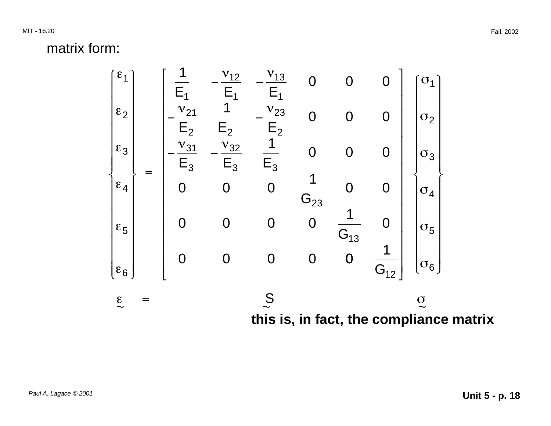MIT - 16.20 Fall, 2002

matrix form:

$$
\begin{bmatrix} \varepsilon_1 \\ \varepsilon_2 \\ \varepsilon_2 \\ \varepsilon_3 \\ \varepsilon_4 \\ \varepsilon_5 \\ \varepsilon_6 \end{bmatrix} = \begin{bmatrix} \frac{1}{E_1} & -\frac{v_{12}}{E_1} & -\frac{v_{13}}{E_1} & 0 & 0 & 0 \\ -\frac{v_{21}}{E_2} & \frac{1}{E_2} & -\frac{v_{23}}{E_2} & 0 & 0 & 0 \\ -\frac{v_{31}}{E_3} & -\frac{v_{32}}{E_3} & \frac{1}{E_3} & 0 & 0 & 0 \\ 0 & 0 & 0 & \frac{1}{G_{23}} & 0 & 0 \\ 0 & 0 & 0 & 0 & \frac{1}{G_{13}} & 0 \\ \varepsilon_6 & 0 & 0 & 0 & 0 & \frac{1}{G_{12}} \end{bmatrix} \begin{bmatrix} \sigma_1 \\ \sigma_2 \\ \sigma_3 \\ \sigma_4 \\ \sigma_5 \\ \sigma_6 \end{bmatrix}
$$
  
\n
$$
\varepsilon = \begin{bmatrix} \varepsilon_1 & \varepsilon_2 & \varepsilon_3 & \varepsilon_1 \\ \varepsilon_2 & \varepsilon_3 & \varepsilon_2 & \varepsilon_3 \\ \varepsilon_4 & \varepsilon_4 & \varepsilon_5 & \varepsilon_6 \\ \varepsilon_7 & \varepsilon_8 & \varepsilon_7 & \varepsilon_8 \\ \varepsilon_8 & \varepsilon_8 & \varepsilon_8 & \varepsilon_9 \\ \varepsilon_9 & \varepsilon_9 & \varepsilon_9 & \varepsilon_1 \\ \varepsilon_1 & \varepsilon_1 & \varepsilon_2 & \varepsilon_9 & \varepsilon_1 \\ \varepsilon_1 & \varepsilon_2 & \varepsilon_1 & \varepsilon_1 \\ \varepsilon_3 & \varepsilon_1 & \varepsilon_2 & \varepsilon_1 \\ \varepsilon_3 & \varepsilon_1 & \varepsilon_2 & \varepsilon_2 \\ \varepsilon_2 & \varepsilon_3 & \varepsilon_3 & \varepsilon_3 \\ \varepsilon_4 & \varepsilon_4 & \varepsilon_1 & \varepsilon_2 & \varepsilon_3 \\ \varepsilon_5 & \varepsilon_3 & \varepsilon_3 & \varepsilon_3 & \varepsilon_4 \\ \varepsilon_6 & \varepsilon_
$$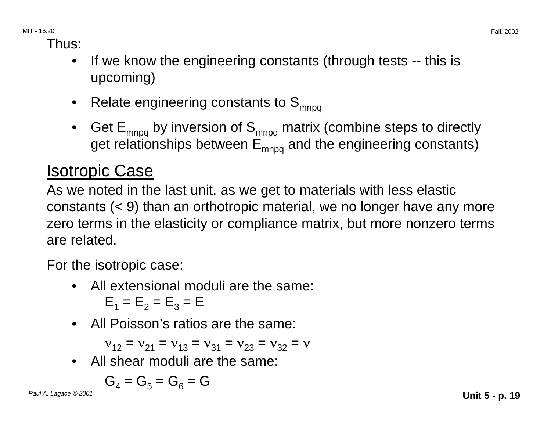Thus:

- If we know the engineering constants (through tests -- this is upcoming)
- Relate engineering constants to  $S_{\text{mnoq}}$
- Get  $E_{mnpq}$  by inversion of  $S_{mnpq}$  matrix (combine steps to directly get relationships between  $E_{mnpq}$  and the engineering constants)

# Isotropic Case

As we noted in the last unit, as we get to materials with less elastic constants (< 9) than an orthotropic material, we no longer have any more zero terms in the elasticity or compliance matrix, but more nonzero terms are related.

For the isotropic case:

- All extensional moduli are the same:  $E_1 = E_2 = E_3 = E$
- All Poisson's ratios are the same:

 $V_{12} = V_{21} = V_{13} = V_{31} = V_{23} = V_{32} = V$ 

• All shear moduli are the same:

$$
\mathbf{G}_4 = \mathbf{G}_5 = \mathbf{G}_6 = \mathbf{G}
$$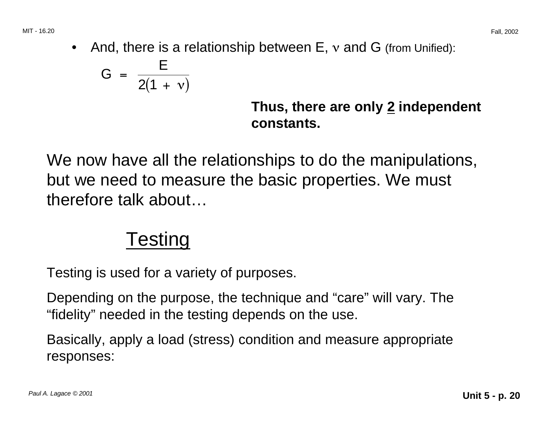• And, there is a relationship between  $E, v$  and  $G$  (from Unified):

$$
G = \frac{E}{2(1 + v)}
$$

**Thus, there are only 2 independent constants.** 

We now have all the relationships to do the manipulations, but we need to measure the basic properties. We must therefore talk about…

# Testing

Testing is used for a variety of purposes.

Depending on the purpose, the technique and "care" will vary. The "fidelity" needed in the testing depends on the use.

Basically, apply a load (stress) condition and measure appropriate responses: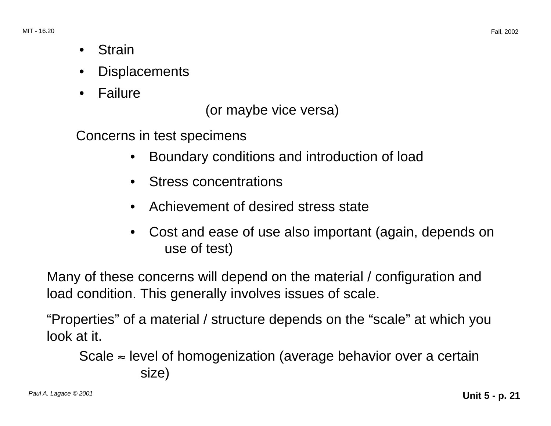- Strain
- **Displacements**
- •Failure

(or maybe vice versa)

Concerns in test specimens

- Boundary conditions and introduction of load
- Stress concentrations
- Achievement of desired stress state
- Cost and ease of use also important (again, depends on use of test)

Many of these concerns will depend on the material / configuration and load condition. This generally involves issues of scale.

"Properties" of a material / structure depends on the "scale" at which you look at it.

Scale  $\approx$  level of homogenization (average behavior over a certain size)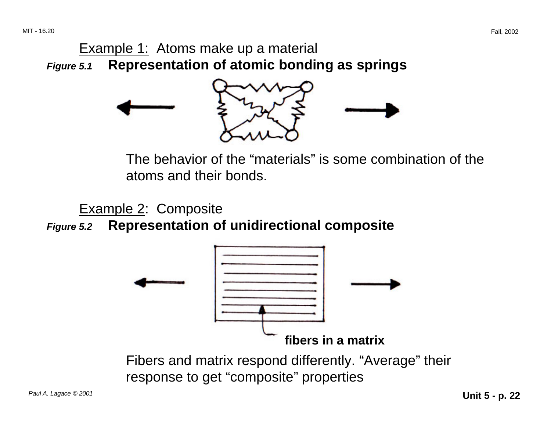#### Example 1: Atoms make up a material **Figure 5.1 Representation of atomic bonding as springs**



The behavior of the "materials" is some combination of the atoms and their bonds.

Example 2: Composite

**Figure 5.2 Representation of unidirectional composite** 



Fibers and matrix respond differently. "Average" their response to get "composite" properties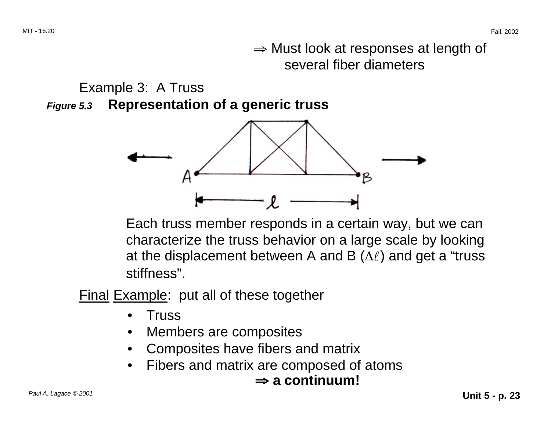<sup>⇒</sup> Must look at responses at length of several fiber diameters

Example 3: A Truss **Figure 5.3 Representation of a generic truss** 



Each truss member responds in a certain way, but we can characterize the truss behavior on a large scale by looking at the displacement between A and B  $(\Delta \ell)$  and get a "truss" stiffness".

Final Example: put all of these together

- Truss
- Members are composites
- Composites have fibers and matrix
- ⇒ <sup>⇒</sup> **a continuum!**  • Fibers and matrix are composed of atoms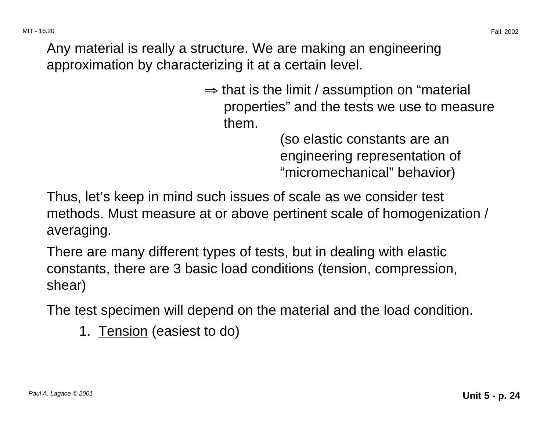Any material is really a structure. We are making an engineering approximation by characterizing it at a certain level.

> $\Rightarrow$  that is the limit / assumption on "material" properties" and the tests we use to measure them.

> > (so elastic constants are an engineering representation of "micromechanical" behavior)

Thus, let's keep in mind such issues of scale as we consider test methods. Must measure at or above pertinent scale of homogenization / averaging.

There are many different types of tests, but in dealing with elastic constants, there are 3 basic load conditions (tension, compression, shear)

The test specimen will depend on the material and the load condition.

1. Tension (easiest to do)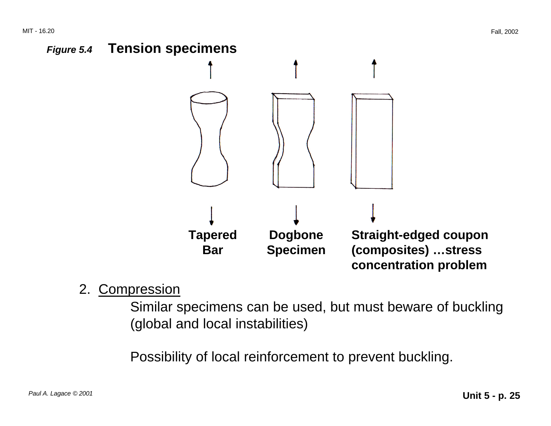

2. Compression

Similar specimens can be used, but must beware of buckling (global and local instabilities)

Possibility of local reinforcement to prevent buckling.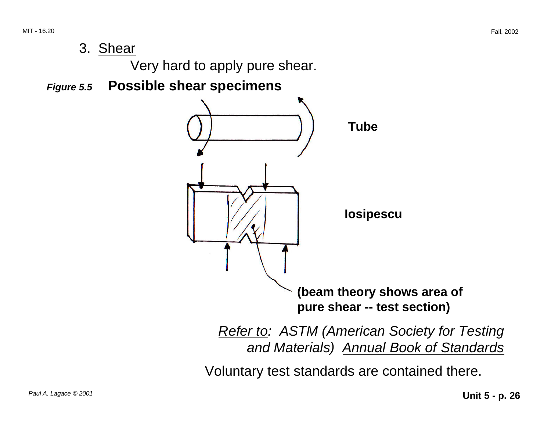3. Shear

Very hard to apply pure shear.

**Figure 5.5 Possible shear specimens** 



**Refer to: ASTM (American Society for Testing** and Materials) Annual Book of Standards

Voluntary test standards are contained there.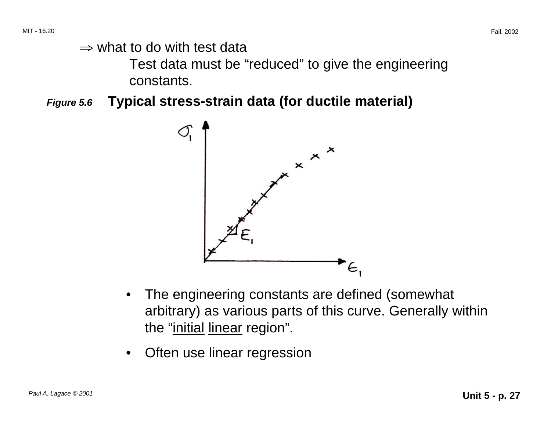$\Rightarrow$  what to do with test data

Test data must be "reduced" to give the engineering constants.

**Figure 5.6 Typical stress-strain data (for ductile material)** 



- The engineering constants are defined (somewhat arbitrary) as various parts of this curve. Generally within the "initial linear region".
- Often use linear regression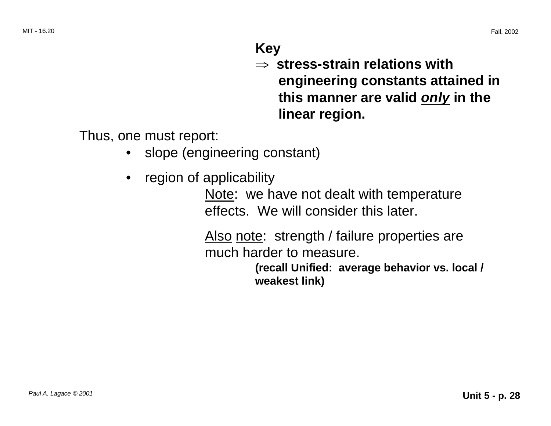#### **Key**

<sup>⇒</sup> **stress-strain relations with engineering constants attained in this manner are valid only in the linear region.** 

Thus, one must report:

- slope (engineering constant)
- region of applicability

Note: we have not dealt with temperature effects. We will consider this later.

Also note: strength / failure properties are much harder to measure.

> **(recall Unified: average behavior vs. local / weakest link)**